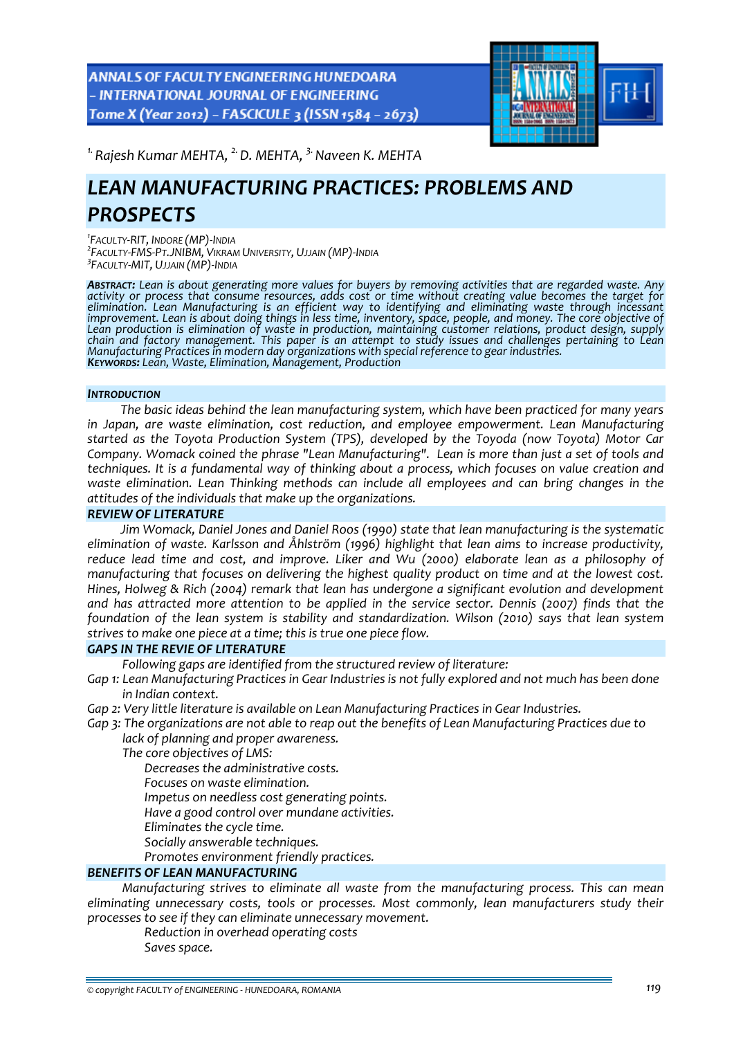ANNALS OF FACULTY ENGINEERING HUNEDOARA - INTERNATIONAL JOURNAL OF ENGINEERING Tome X (Year 2012) - FASCICULE 3 (ISSN 1584 - 2673)



<sup>1.</sup> Rajesh Kumar MEHTA, <sup>2.</sup> D. MEHTA, <sup>3.</sup> Naveen K. MEHTA

# *LEAN MANUFACTURING PRACTICES: PROBLEMS AND PROSPECTS*

*1 FACULTY‐RIT, INDORE (MP)‐INDIA <sup>2</sup> FACULTY‐FMS‐PT.JNIBM, VIKRAM UNIVERSITY, UJJAIN (MP)‐INDIA 3 FACULTY‐MIT, UJJAIN (MP)‐INDIA*

**Abstract:** Lean is about generating more values for buyers by removing activities that are regarded waste. Any activity or process that consume resources, adds cost or time without creating value becomes the target for<br>elimination. Lean Manufacturing is an efficient way to identifying and eliminating waste through incessant improvement. Lean is about doing things in less time, inventory, space, people, and money. The core objective of Lean production is elimination of waste in production, maintaining customer relations, product design, supply<br>chain and factory management. This paper is an attempt to study issues and challenges pertaining to Lean Manufacturing Practices in modern day organizations with special reference to gear industries.<br>Keywords: Lean, Waste, Elimination, Management, Production

#### *INTRODUCTION*

*The basic ideas behind the lean manufacturing system, which have been practiced for many years in Japan, are waste elimination, cost reduction, and employee empowerment. Lean Manufacturing started as the Toyota Production System (TPS), developed by the Toyoda (now Toyota) Motor Car Company. Womack coined the phrase "Lean Manufacturing". Lean is more than just a set of tools and techniques. It is a fundamental way of thinking about a process, which focuses on value creation and waste elimination. Lean Thinking methods can include all employees and can bring changes in the attitudes of the individuals that make up the organizations.*

#### *REVIEW OF LITERATURE*

*Jim Womack, Daniel Jones and Daniel Roos (1990) state that lean manufacturing is the systematic elimination of waste. Karlsson and Åhlström (1996) highlight that lean aims to increase productivity, reduce lead time and cost, and improve. Liker and Wu (2000) elaborate lean as a philosophy of manufacturing that focuses on delivering the highest quality product on time and at the lowest cost. Hines, Holweg & Rich (2004) remark that lean has undergone a significant evolution and development and has attracted more attention to be applied in the service sector. Dennis (2007) finds that the foundation of the lean system is stability and standardization. Wilson (2010) says that lean system strives to make one piece at a time; this is true one piece flow.*

## *GAPS IN THE REVIE OF LITERATURE*

*Following gaps are identified from the structured review of literature:*

Gap 1: Lean Manufacturing Practices in Gear Industries is not fully explored and not much has been done *in Indian context.*

*Gap 2: Very little literature is available on Lean Manufacturing Practices in Gear Industries.*

Gap 3: The organizations are not able to reap out the benefits of Lean Manufacturing Practices due to *lack of planning and proper awareness.*

*The core objectives of LMS:*

*Decreases the administrative costs.*

*Focuses on waste elimination.* 

*Impetus on needless cost generating points.*

*Have a good control over mundane activities.*

*Eliminates the cycle time.*

*Socially answerable techniques.*

*Promotes environment friendly practices.*

## *BENEFITS OF LEAN MANUFACTURING*

*Manufacturing strives to eliminate all waste from the manufacturing process. This can mean eliminating unnecessary costs, tools or processes. Most commonly, lean manufacturers study their processes to see if they can eliminate unnecessary movement.*

*Reduction in overhead operating costs*

*Saves space.*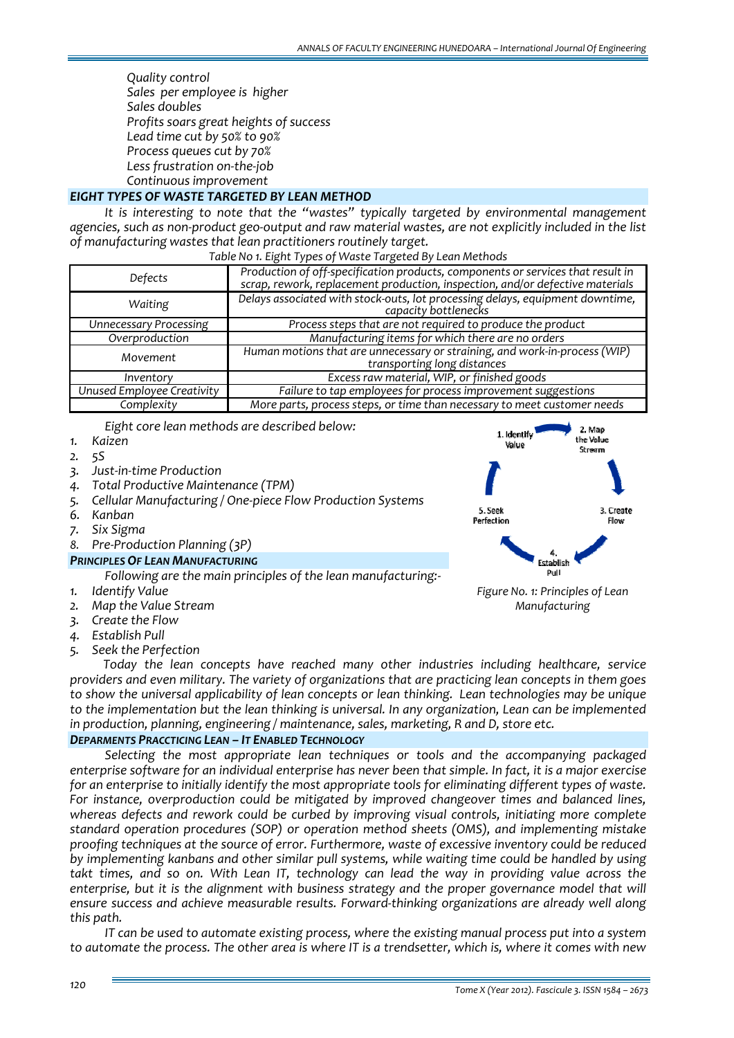*Quality control Sales per employee is higher Sales doubles Profits soars great heights of success Lead time cut by 50% to 90% Process queues cut by 70% Less frustration on‐the‐job Continuous improvement*

## *EIGHT TYPES OF WASTE TARGETED BY LEAN METHOD*

*It is interesting to note that the "wastes" typically targeted by environmental management* agencies, such as non-product geo-output and raw material wastes, are not explicitly included in the list *of manufacturing wastes that lean practitioners routinely target.* 

| Table No 1. Eight Types of Waste Targeted By Lean Methods |  |
|-----------------------------------------------------------|--|
|-----------------------------------------------------------|--|

| Defects                       | Production of off-specification products, components or services that result in<br>scrap, rework, replacement production, inspection, and/or defective materials |
|-------------------------------|------------------------------------------------------------------------------------------------------------------------------------------------------------------|
| Waiting                       | Delays associated with stock-outs, lot processing delays, equipment downtime,<br>capacity bottlenecks                                                            |
| <b>Unnecessary Processing</b> | Process steps that are not required to produce the product                                                                                                       |
| Overproduction                | Manufacturing items for which there are no orders                                                                                                                |
| Movement                      | Human motions that are unnecessary or straining, and work-in-process (WIP)<br>transporting long distances                                                        |
| Inventory                     | Excess raw material, WIP, or finished goods                                                                                                                      |
| Unused Employee Creativity    | Failure to tap employees for process improvement suggestions                                                                                                     |
| Complexity                    | More parts, process steps, or time than necessary to meet customer needs                                                                                         |

*Eight core lean methods are described below:*

- *1. Kaizen*
- *2. 5S*
- *3. Just‐in‐time Production*
- *4. Total Productive Maintenance (TPM)*
- *5. Cellular Manufacturing / One‐piece Flow Production Systems*
- *6. Kanban*
- *7. Six Sigma*
- *8. Pre‐Production Planning (3P)*
- *PRINCIPLES OF LEAN MANUFACTURING*

*Following are the main principles of the lean manufacturing:‐* 

- *1. Identify Value*
- *2. Map the Value Stream*
- *3. Create the Flow*
- *4. Establish Pull*
- *5. Seek the Perfection*



*Manufacturing*

*Today the lean concepts have reached many other industries including healthcare, service providers and even military. The variety of organizations that are practicing lean concepts in them goes to show the universal applicability of lean concepts or lean thinking. Lean technologies may be unique to the implementation but the lean thinking is universal. In any organization, Lean can be implemented in production, planning, engineering / maintenance, sales, marketing, R and D, store etc.*

## *DEPARMENTS PRACCTICING LEAN – IT ENABLED TECHNOLOGY*

*Selecting the most appropriate lean techniques or tools and the accompanying packaged* enterprise software for an individual enterprise has never been that simple. In fact, it is a major exercise *for an enterprise to initially identify the most appropriate tools for eliminating different types of waste. For instance, overproduction could be mitigated by improved changeover times and balanced lines, whereas defects and rework could be curbed by improving visual controls, initiating more complete standard operation procedures (SOP) or operation method sheets (OMS), and implementing mistake proofing techniques at the source of error. Furthermore, waste of excessive inventory could be reduced by implementing kanbans and other similar pull systems, while waiting time could be handled by using takt times, and so on. With Lean IT, technology can lead the way in providing value across the enterprise, but it is the alignment with business strategy and the proper governance model that will ensure success and achieve measurable results. Forward‐thinking organizations are already well along this path.* 

*IT can be used to automate existing process, where the existing manual process put into a system* to automate the process. The other area is where IT is a trendsetter, which is, where it comes with new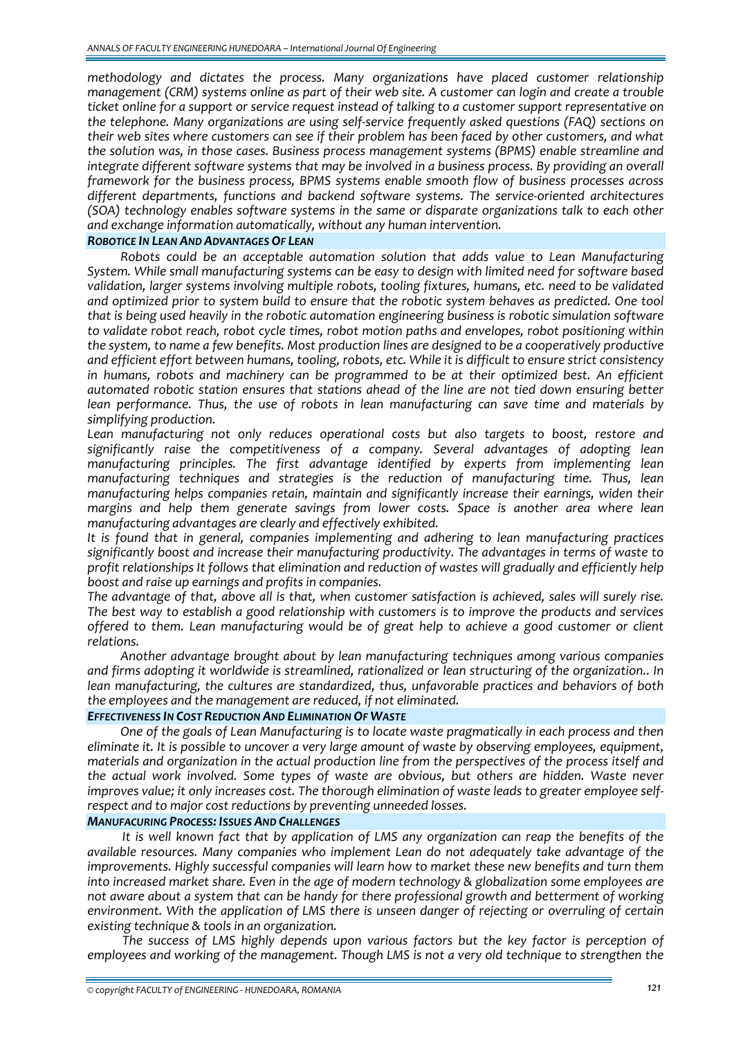*methodology and dictates the process. Many organizations have placed customer relationship* management (CRM) systems online as part of their web site. A customer can login and create a trouble *ticket online for a support or service request instead of talking to a customer support representative on the telephone. Many organizations are using self‐service frequently asked questions (FAQ) sections on* their web sites where customers can see if their problem has been faced by other customers, and what *the solution was, in those cases. Business process management systems (BPMS) enable streamline and integrate different software systems that may be involved in a business process. By providing an overall framework for the business process, BPMS systems enable smooth flow of business processes across different departments, functions and backend software systems. The service‐oriented architectures (SOA) technology enables software systems in the same or disparate organizations talk to each other and exchange information automatically, without any human intervention.*

#### *ROBOTICE IN LEAN AND ADVANTAGES OF LEAN*

*Robots could be an acceptable automation solution that adds value to Lean Manufacturing System. While small manufacturing systems can be easy to design with limited need for software based validation, larger systems involving multiple robots, tooling fixtures, humans, etc. need to be validated and optimized prior to system build to ensure that the robotic system behaves as predicted. One tool that is being used heavily in the robotic automation engineering business is robotic simulation software to validate robot reach, robot cycle times, robot motion paths and envelopes, robot positioning within the system, to name a few benefits. Most production lines are designed to be a cooperatively productive and efficient effort between humans, tooling, robots, etc. While it is difficult to ensure strict consistency in humans, robots and machinery can be programmed to be at their optimized best. An efficient automated robotic station ensures that stations ahead of the line are not tied down ensuring better lean performance. Thus, the use of robots in lean manufacturing can save time and materials by simplifying production.*

*Lean manufacturing not only reduces operational costs but also targets to boost, restore and significantly raise the competitiveness of a company. Several advantages of adopting lean manufacturing principles. The first advantage identified by experts from implementing lean manufacturing techniques and strategies is the reduction of manufacturing time. Thus, lean manufacturing helps companies retain, maintain and significantly increase their earnings, widen their margins and help them generate savings from lower costs. Space is another area where lean manufacturing advantages are clearly and effectively exhibited.* 

*It is found that in general, companies implementing and adhering to lean manufacturing practices significantly boost and increase their manufacturing productivity. The advantages in terms of waste to profit relationships It follows that elimination and reduction of wastes will gradually and efficiently help boost and raise up earnings and profits in companies.*

*The advantage of that, above all is that, when customer satisfaction is achieved, sales will surely rise. The best way to establish a good relationship with customers is to improve the products and services offered to them. Lean manufacturing would be of great help to achieve a good customer or client relations.*

*Another advantage brought about by lean manufacturing techniques among various companies and firms adopting it worldwide is streamlined, rationalized or lean structuring of the organization.. In lean manufacturing, the cultures are standardized, thus, unfavorable practices and behaviors of both the employees and the management are reduced, if not eliminated.*

#### *EFFECTIVENESS IN COST REDUCTION AND ELIMINATION OF WASTE*

*One of the goals of Lean Manufacturing is to locate waste pragmatically in each process and then eliminate it. It is possible to uncover a very large amount of waste by observing employees, equipment, materials and organization in the actual production line from the perspectives of the process itself and the actual work involved. Some types of waste are obvious, but others are hidden. Waste never improves value; it only increases cost. The thorough elimination of waste leads to greater employee self‐ respect and to major cost reductions by preventing unneeded losses.*

#### *MANUFACURING PROCESS: ISSUES AND CHALLENGES*

*It is well known fact that by application of LMS any organization can reap the benefits of the available resources. Many companies who implement Lean do not adequately take advantage of the improvements. Highly successful companies will learn how to market these new benefits and turn them into increased market share. Even in the age of modern technology & globalization some employees are not aware about a system that can be handy for there professional growth and betterment of working environment. With the application of LMS there is unseen danger of rejecting or overruling of certain existing technique & tools in an organization.* 

*The success of LMS highly depends upon various factors but the key factor is perception of employees and working of the management. Though LMS is not a very old technique to strengthen the*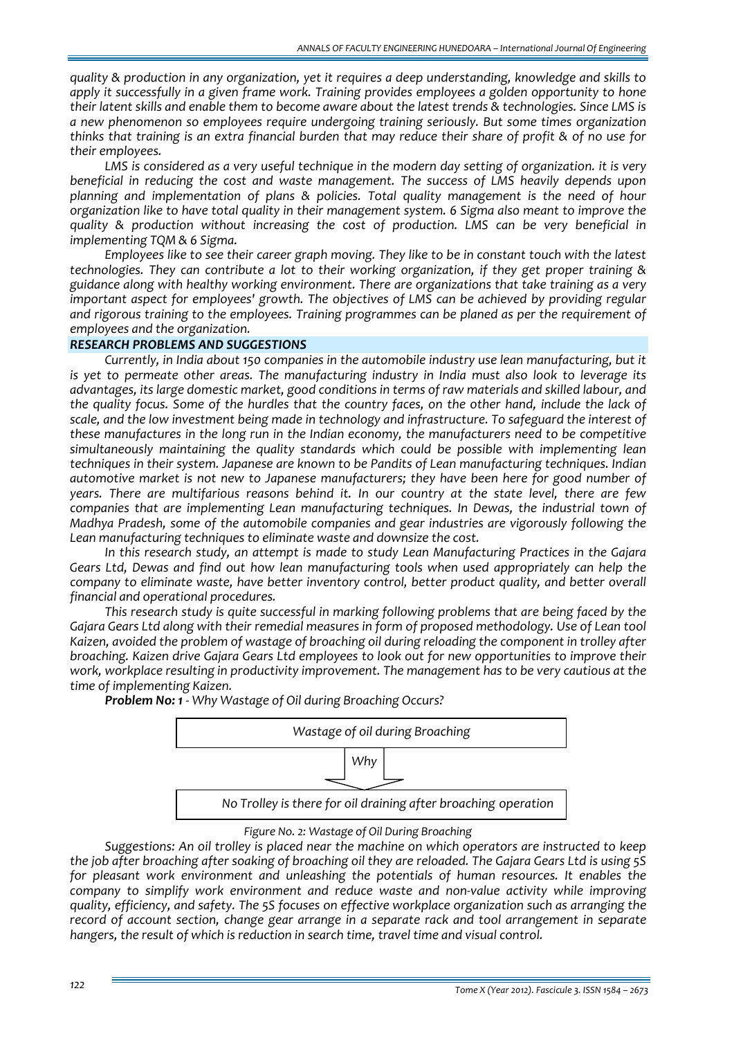*quality & production in any organization, yet it requires a deep understanding, knowledge and skills to apply it successfully in a given frame work. Training provides employees a golden opportunity to hone* their latent skills and enable them to become aware about the latest trends & technologies. Since LMS is *a new phenomenon so employees require undergoing training seriously. But some times organization* thinks that training is an extra financial burden that may reduce their share of profit & of no use for *their employees.*

*LMS is considered as a very useful technique in the modern day setting of organization. it is very beneficial in reducing the cost and waste management. The success of LMS heavily depends upon planning and implementation of plans & policies. Total quality management is the need of hour organization like to have total quality in their management system. 6 Sigma also meant to improve the quality & production without increasing the cost of production. LMS can be very beneficial in implementing TQM & 6 Sigma.*

*Employees like to see their career graph moving. They like to be in constant touch with the latest technologies. They can contribute a lot to their working organization, if they get proper training & guidance along with healthy working environment. There are organizations that take training as a very important aspect for employees' growth. The objectives of LMS can be achieved by providing regular and rigorous training to the employees. Training programmes can be planed as per the requirement of employees and the organization.*

# *RESEARCH PROBLEMS AND SUGGESTIONS*

*Currently, in India about 150 companies in the automobile industry use lean manufacturing, but it is yet to permeate other areas. The manufacturing industry in India must also look to leverage its advantages, its large domestic market, good conditions in terms of raw materials and skilled labour, and* the quality focus. Some of the hurdles that the country faces, on the other hand, include the lack of *scale, and the low investment being made in technology and infrastructure. To safeguard the interest of these manufactures in the long run in the Indian economy, the manufacturers need to be competitive simultaneously maintaining the quality standards which could be possible with implementing lean techniques in their system. Japanese are known to be Pandits of Lean manufacturing techniques. Indian automotive market is not new to Japanese manufacturers; they have been here for good number of years. There are multifarious reasons behind it. In our country at the state level, there are few companies that are implementing Lean manufacturing techniques. In Dewas, the industrial town of Madhya Pradesh, some of the automobile companies and gear industries are vigorously following the Lean manufacturing techniques to eliminate waste and downsize the cost.* 

*In this research study, an attempt is made to study Lean Manufacturing Practices in the Gajara Gears Ltd, Dewas and find out how lean manufacturing tools when used appropriately can help the company to eliminate waste, have better inventory control, better product quality, and better overall financial and operational procedures.* 

*This research study is quite successful in marking following problems that are being faced by the Gajara Gears Ltd along with their remedial measures in form of proposed methodology. Use of Lean tool Kaizen, avoided the problem of wastage of broaching oil during reloading the component in trolley after broaching. Kaizen drive Gajara Gears Ltd employees to look out for new opportunities to improve their work, workplace resulting in productivity improvement. The management has to be very cautious at the time of implementing Kaizen.*



*Problem No: 1 ‐ Why Wastage of Oil during Broaching Occurs?*

#### *Figure No. 2: Wastage of Oil During Broaching*

*Suggestions: An oil trolley is placed near the machine on which operators are instructed to keep* the job after broaching after soaking of broaching oil they are reloaded. The Gajara Gears Ltd is using 5S *for pleasant work environment and unleashing the potentials of human resources. It enables the company to simplify work environment and reduce waste and non‐value activity while improving quality, efficiency, and safety. The 5S focuses on effective workplace organization such as arranging the record of account section, change gear arrange in a separate rack and tool arrangement in separate hangers, the result of which is reduction in search time, travel time and visual control.*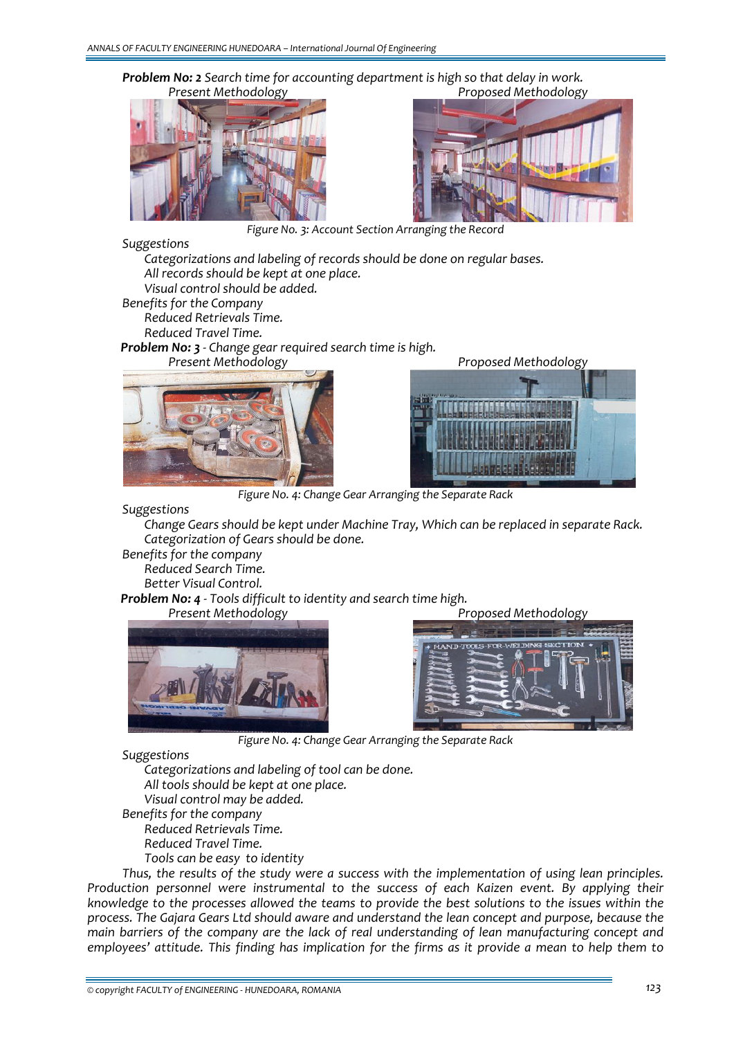



*Present Methodology Proposed Methodology*

*Figure No. 3: Account Section Arranging the Record*

#### *Suggestions*

 *Categorizations and labeling of records should be done on regular bases. All records should be kept at one place.*

*Visual control should be added.*

*Benefits for the Company*

 *Reduced Retrievals Time. Reduced Travel Time.*

*Problem No: 3 ‐ Change gear required search time is high.* 

*Present Methodology Proposed Methodology*





*Figure No. 4: Change Gear Arranging the Separate Rack*

*Suggestions*

 *Change Gears should be kept under Machine Tray, Which can be replaced in separate Rack. Categorization of Gears should be done.*

*Benefits for the company Reduced Search Time.* 

*Better Visual Control.*

*Problem No: 4 ‐ Tools difficult to identity and search time high.*





*Figure No. 4: Change Gear Arranging the Separate Rack*

*Suggestions* 

 *Categorizations and labeling of tool can be done. All tools should be kept at one place. Visual control may be added. Benefits for the company Reduced Retrievals Time. Reduced Travel Time. Tools can be easy to identity* 

*Thus, the results of the study were a success with the implementation of using lean principles. Production personnel were instrumental to the success of each Kaizen event. By applying their knowledge to the processes allowed the teams to provide the best solutions to the issues within the process. The Gajara Gears Ltd should aware and understand the lean concept and purpose, because the main barriers of the company are the lack of real understanding of lean manufacturing concept and* employees' attitude. This finding has implication for the firms as it provide a mean to help them to